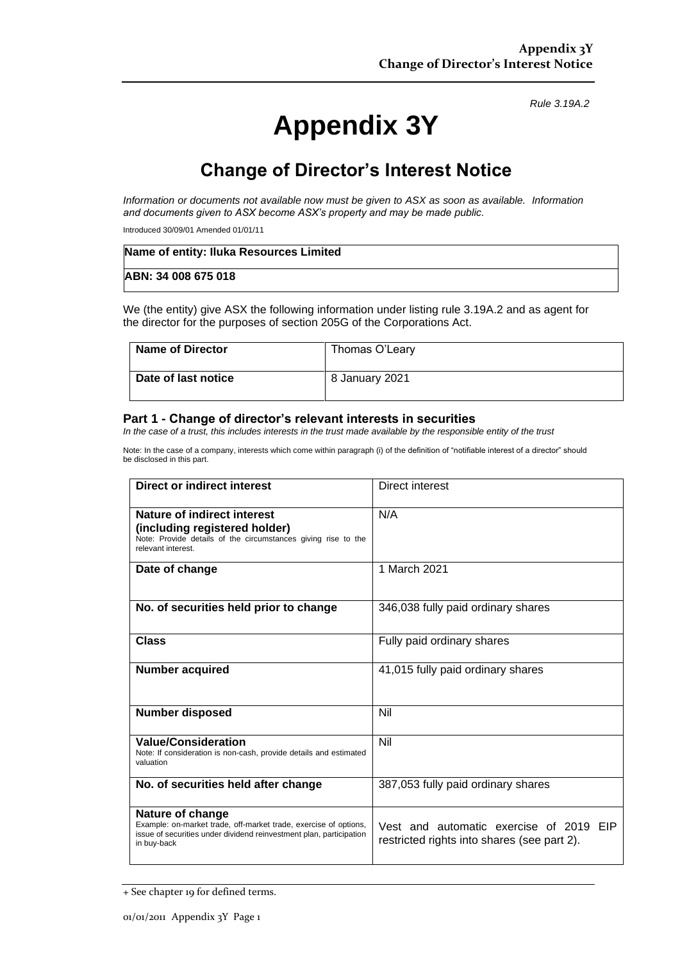*Rule 3.19A.2*

# **Appendix 3Y**

## **Change of Director's Interest Notice**

*Information or documents not available now must be given to ASX as soon as available. Information and documents given to ASX become ASX's property and may be made public.*

Introduced 30/09/01 Amended 01/01/11

| Name of entity: Iluka Resources Limited |  |
|-----------------------------------------|--|
| ABN: 34 008 675 018                     |  |

We (the entity) give ASX the following information under listing rule 3.19A.2 and as agent for the director for the purposes of section 205G of the Corporations Act.

| Name of Director    | Thomas O'Leary |
|---------------------|----------------|
| Date of last notice | 8 January 2021 |

#### **Part 1 - Change of director's relevant interests in securities**

*In the case of a trust, this includes interests in the trust made available by the responsible entity of the trust*

Note: In the case of a company, interests which come within paragraph (i) of the definition of "notifiable interest of a director" should be disclosed in this part.

| Direct or indirect interest                                                                                                                                                | Direct interest                                                                        |
|----------------------------------------------------------------------------------------------------------------------------------------------------------------------------|----------------------------------------------------------------------------------------|
| Nature of indirect interest<br>(including registered holder)<br>Note: Provide details of the circumstances giving rise to the<br>relevant interest.                        | N/A                                                                                    |
| Date of change                                                                                                                                                             | 1 March 2021                                                                           |
| No. of securities held prior to change                                                                                                                                     | 346,038 fully paid ordinary shares                                                     |
| <b>Class</b>                                                                                                                                                               | Fully paid ordinary shares                                                             |
| <b>Number acquired</b>                                                                                                                                                     | 41,015 fully paid ordinary shares                                                      |
| <b>Number disposed</b>                                                                                                                                                     | Nil                                                                                    |
| <b>Value/Consideration</b><br>Note: If consideration is non-cash, provide details and estimated<br>valuation                                                               | Nil                                                                                    |
| No. of securities held after change                                                                                                                                        | 387,053 fully paid ordinary shares                                                     |
| Nature of change<br>Example: on-market trade, off-market trade, exercise of options,<br>issue of securities under dividend reinvestment plan, participation<br>in buy-back | Vest and automatic exercise of 2019 EIP<br>restricted rights into shares (see part 2). |

<sup>+</sup> See chapter 19 for defined terms.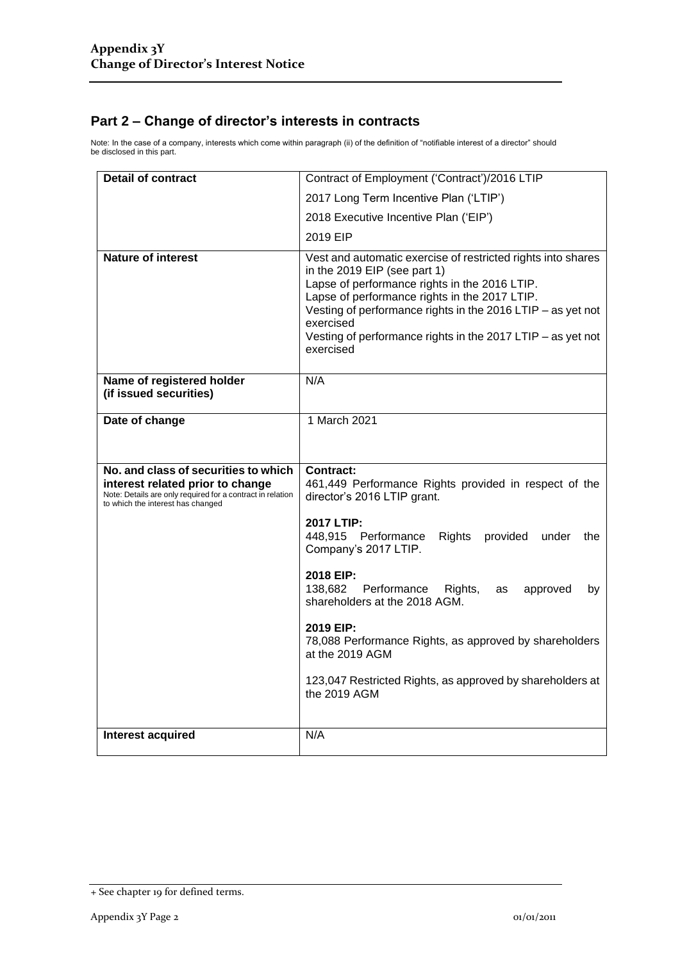### **Part 2 – Change of director's interests in contracts**

Note: In the case of a company, interests which come within paragraph (ii) of the definition of "notifiable interest of a director" should be disclosed in this part.

| <b>Detail of contract</b>                                                                                                                                                   | Contract of Employment ('Contract')/2016 LTIP                                                                                                                                                                                                                                                                                                          |  |
|-----------------------------------------------------------------------------------------------------------------------------------------------------------------------------|--------------------------------------------------------------------------------------------------------------------------------------------------------------------------------------------------------------------------------------------------------------------------------------------------------------------------------------------------------|--|
|                                                                                                                                                                             | 2017 Long Term Incentive Plan ('LTIP')                                                                                                                                                                                                                                                                                                                 |  |
|                                                                                                                                                                             | 2018 Executive Incentive Plan ('EIP')                                                                                                                                                                                                                                                                                                                  |  |
|                                                                                                                                                                             | 2019 EIP                                                                                                                                                                                                                                                                                                                                               |  |
| <b>Nature of interest</b>                                                                                                                                                   | Vest and automatic exercise of restricted rights into shares<br>in the 2019 EIP (see part 1)<br>Lapse of performance rights in the 2016 LTIP.<br>Lapse of performance rights in the 2017 LTIP.<br>Vesting of performance rights in the 2016 LTIP - as yet not<br>exercised<br>Vesting of performance rights in the 2017 LTIP - as yet not<br>exercised |  |
| Name of registered holder<br>(if issued securities)                                                                                                                         | N/A                                                                                                                                                                                                                                                                                                                                                    |  |
| Date of change                                                                                                                                                              | 1 March 2021                                                                                                                                                                                                                                                                                                                                           |  |
| No. and class of securities to which<br>interest related prior to change<br>Note: Details are only required for a contract in relation<br>to which the interest has changed | Contract:<br>461,449 Performance Rights provided in respect of the<br>director's 2016 LTIP grant.                                                                                                                                                                                                                                                      |  |
|                                                                                                                                                                             |                                                                                                                                                                                                                                                                                                                                                        |  |
|                                                                                                                                                                             | 2017 LTIP:<br>448,915 Performance<br><b>Rights</b><br>provided<br>under<br>the<br>Company's 2017 LTIP.                                                                                                                                                                                                                                                 |  |
|                                                                                                                                                                             | 2018 EIP:<br>138,682<br>Performance<br>Rights,<br>approved<br>as<br>by<br>shareholders at the 2018 AGM.                                                                                                                                                                                                                                                |  |
|                                                                                                                                                                             | 2019 EIP:<br>78,088 Performance Rights, as approved by shareholders<br>at the 2019 AGM                                                                                                                                                                                                                                                                 |  |
|                                                                                                                                                                             | 123,047 Restricted Rights, as approved by shareholders at<br>the 2019 AGM                                                                                                                                                                                                                                                                              |  |

<sup>+</sup> See chapter 19 for defined terms.